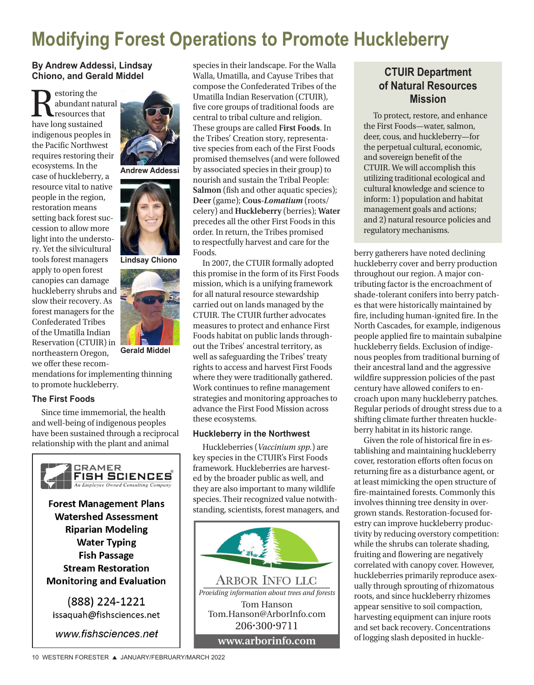# **Modifying Forest Operations to Promote Huckleberry**

## **By Andrew Addessi, Lindsay Chiono, and Gerald Middel**

 $\displaystyle{\prod_{\text{resources that }\text{have long sustained}}}$ abundant natural resources that indigenous peoples in the Pacific Northwest requires restoring their ecosystems. In the case of huckleberry, a resource vital to native people in the region, restoration means setting back forest succession to allow more light into the understory. Yet the silvicultural tools forest managers apply to open forest canopies can damage huckleberry shrubs and slow their recovery. As forest managers for the Confederated Tribes of the Umatilla Indian Reservation (CTUIR) in northeastern Oregon, we offer these recom-



**Andrew Addessi**



**Lindsay Chiono**



**Gerald Middel**

mendations for implementing thinning to promote huckleberry.

### **The First Foods**

Since time immemorial, the health and well-being of indigenous peoples have been sustained through a reciprocal relationship with the plant and animal



species in their landscape. For the Walla Walla, Umatilla, and Cayuse Tribes that compose the Confederated Tribes of the Umatilla Indian Reservation (CTUIR), five core groups of traditional foods are central to tribal culture and religion. These groups are called **First Foods**. In the Tribes' Creation story, representative species from each of the First Foods promised themselves (and were followed by associated species in their group) to nourish and sustain the Tribal People: **Salmon** (fish and other aquatic species); **Deer** (game); **Cous***-Lomatium* (roots/ celery) and **Huckleberry** (berries); **Water** precedes all the other First Foods in this order. In return, the Tribes promised to respectfully harvest and care for the Foods.

In 2007, the CTUIR formally adopted this promise in the form of its First Foods mission, which is a unifying framework for all natural resource stewardship carried out on lands managed by the CTUIR. The CTUIR further advocates measures to protect and enhance First Foods habitat on public lands throughout the Tribes' ancestral territory, as well as safeguarding the Tribes' treaty rights to access and harvest First Foods where they were traditionally gathered. Work continues to refine management strategies and monitoring approaches to advance the First Food Mission across these ecosystems.

#### **Huckleberry in the Northwest**

Huckleberries (*Vaccinium spp.*) are key species in the CTUIR's First Foods framework. Huckleberries are harvested by the broader public as well, and they are also important to many wildlife species. Their recognized value notwithstanding, scientists, forest managers, and



# **CTUIR Department of Natural Resources Mission**

To protect, restore, and enhance the First Foods—water, salmon, deer, cous, and huckleberry—for the perpetual cultural, economic, and sovereign benefit of the CTUIR. We will accomplish this utilizing traditional ecological and cultural knowledge and science to inform: 1) population and habitat management goals and actions; and 2) natural resource policies and regulatory mechanisms.

berry gatherers have noted declining huckleberry cover and berry production throughout our region. A major contributing factor is the encroachment of shade-tolerant conifers into berry patches that were historically maintained by fire, including human-ignited fire. In the North Cascades, for example, indigenous people applied fire to maintain subalpine huckleberry fields. Exclusion of indigenous peoples from traditional burning of their ancestral land and the aggressive wildfire suppression policies of the past century have allowed conifers to encroach upon many huckleberry patches. Regular periods of drought stress due to a shifting climate further threaten huckleberry habitat in its historic range.

Given the role of historical fire in establishing and maintaining huckleberry cover, restoration efforts often focus on returning fire as a disturbance agent, or at least mimicking the open structure of fire-maintained forests. Commonly this involves thinning tree density in overgrown stands. Restoration-focused forestry can improve huckleberry productivity by reducing overstory competition: while the shrubs can tolerate shading, fruiting and flowering are negatively correlated with canopy cover. However, huckleberries primarily reproduce asexually through sprouting of rhizomatous roots, and since huckleberry rhizomes appear sensitive to soil compaction, harvesting equipment can injure roots and set back recovery. Concentrations of logging slash deposited in huckle-